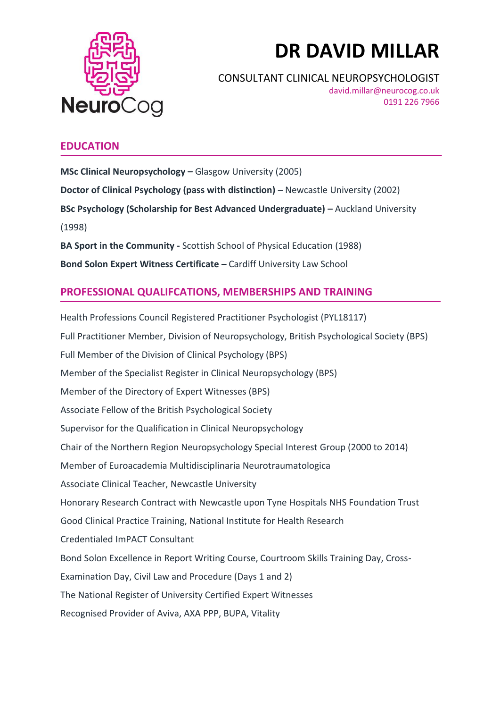

# **DR DAVID MILLAR**

CONSULTANT CLINICAL NEUROPSYCHOLOGIST

david.millar@neurocog.co.uk 0191 226 7966

# **EDUCATION**

**MSc Clinical Neuropsychology –** Glasgow University (2005) **Doctor of Clinical Psychology (pass with distinction) – Newcastle University (2002) BSc Psychology (Scholarship for Best Advanced Undergraduate) – Auckland University** (1998)

**BA Sport in the Community -** Scottish School of Physical Education (1988) **Bond Solon Expert Witness Certificate – Cardiff University Law School** 

# **PROFESSIONAL QUALIFCATIONS, MEMBERSHIPS AND TRAINING**

Health Professions Council Registered Practitioner Psychologist (PYL18117) Full Practitioner Member, Division of Neuropsychology, British Psychological Society (BPS) Full Member of the Division of Clinical Psychology (BPS) Member of the Specialist Register in Clinical Neuropsychology (BPS) Member of the Directory of Expert Witnesses (BPS) Associate Fellow of the British Psychological Society Supervisor for the Qualification in Clinical Neuropsychology Chair of the Northern Region Neuropsychology Special Interest Group (2000 to 2014) Member of Euroacademia Multidisciplinaria Neurotraumatologica Associate Clinical Teacher, Newcastle University Honorary Research Contract with Newcastle upon Tyne Hospitals NHS Foundation Trust Good Clinical Practice Training, National Institute for Health Research Credentialed ImPACT Consultant Bond Solon Excellence in Report Writing Course, Courtroom Skills Training Day, Cross-Examination Day, Civil Law and Procedure (Days 1 and 2) The National Register of University Certified Expert Witnesses Recognised Provider of Aviva, AXA PPP, BUPA, Vitality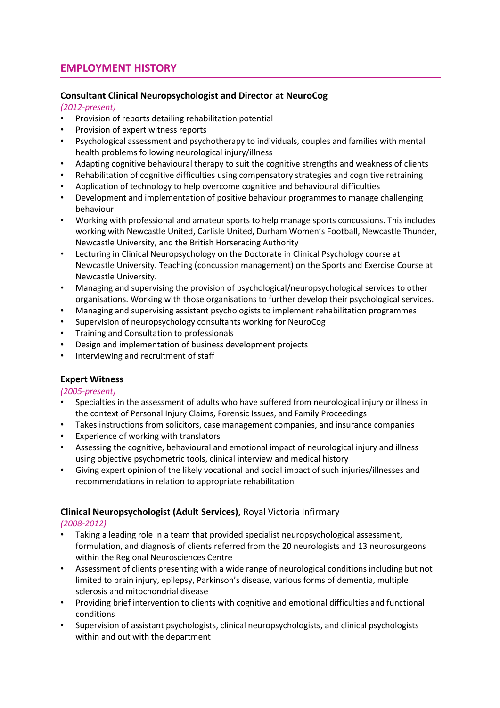# **EMPLOYMENT HISTORY**

# **Consultant Clinical Neuropsychologist and Director at NeuroCog**

### *(2012-present)*

- Provision of reports detailing rehabilitation potential
- Provision of expert witness reports
- Psychological assessment and psychotherapy to individuals, couples and families with mental health problems following neurological injury/illness
- Adapting cognitive behavioural therapy to suit the cognitive strengths and weakness of clients
- Rehabilitation of cognitive difficulties using compensatory strategies and cognitive retraining
- Application of technology to help overcome cognitive and behavioural difficulties
- Development and implementation of positive behaviour programmes to manage challenging behaviour
- Working with professional and amateur sports to help manage sports concussions. This includes working with Newcastle United, Carlisle United, Durham Women's Football, Newcastle Thunder, Newcastle University, and the British Horseracing Authority
- Lecturing in Clinical Neuropsychology on the Doctorate in Clinical Psychology course at Newcastle University. Teaching (concussion management) on the Sports and Exercise Course at Newcastle University.
- Managing and supervising the provision of psychological/neuropsychological services to other organisations. Working with those organisations to further develop their psychological services.
- Managing and supervising assistant psychologists to implement rehabilitation programmes
- Supervision of neuropsychology consultants working for NeuroCog
- Training and Consultation to professionals
- Design and implementation of business development projects
- Interviewing and recruitment of staff

## **Expert Witness**

*(2005-present)*

- Specialties in the assessment of adults who have suffered from neurological injury or illness in the context of Personal Injury Claims, Forensic Issues, and Family Proceedings
- Takes instructions from solicitors, case management companies, and insurance companies
- Experience of working with translators
- Assessing the cognitive, behavioural and emotional impact of neurological injury and illness using objective psychometric tools, clinical interview and medical history
- Giving expert opinion of the likely vocational and social impact of such injuries/illnesses and recommendations in relation to appropriate rehabilitation

## **Clinical Neuropsychologist (Adult Services),** Royal Victoria Infirmary

#### *(2008-2012)*

- Taking a leading role in a team that provided specialist neuropsychological assessment, formulation, and diagnosis of clients referred from the 20 neurologists and 13 neurosurgeons within the Regional Neurosciences Centre
- Assessment of clients presenting with a wide range of neurological conditions including but not limited to brain injury, epilepsy, Parkinson's disease, various forms of dementia, multiple sclerosis and mitochondrial disease
- Providing brief intervention to clients with cognitive and emotional difficulties and functional conditions
- Supervision of assistant psychologists, clinical neuropsychologists, and clinical psychologists within and out with the department